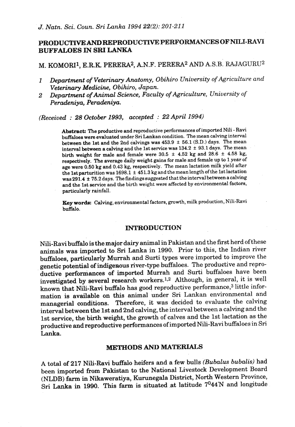# **PRODUCTIVE AND REPRODUCTIVE PERFORMANCES OF NILI-RAVI BUFFALOES IN SRI LANKA**

M. KOMORI<sup>1</sup>, E.R.K. PERERA<sup>2</sup>, A.N.F. PERERA<sup>2</sup> AND A.S.B. RAJAGURU<sup>2</sup>

- *1 Department of Veterinary Anatomy, Obihiro University of Agriculture and Veterinary Medicine, Obihiro, Japan.*
- **2** *Department of Animal Science, Faculty of Agriculture, University of Peradeniya, Peradeniya.*

*(Received* : *28 October 1993, accepted* : *22 April 1994)* 

**Abstract:** The productive and reproductive performances of imported Nili - Ravi buffaloee were evaluated under **Sri** Lankan condition. The **mean** calving interval between the 1st and the 2nd calvings was  $453.9 \pm 56.1$  (S.D.) days. The mean interval between a calving and the 1st service was  $134.2 \pm 93.1$  days. The mean birth weight for male and female were  $30.5 \pm 4.52$  kg and  $28.6 \pm 4.58$  kg, respectively. The average daily weight gains for male and female up to 1 year of age were **0.60** kg and **0.43 kg,** respectively. The mean lactation **milk** yield after the 1st parturition was  $1698.1 \pm 451.3$  kg and the mean length of the 1st lactation was 291.4 **f 75.2** days. The findings suggested that theinterval between acalving **and** the **1st** service and the birth weight **were affected** by **e\*vironmental** factors, particularly rainfall.

**Key worde:** Calving, environmental factors, growth, **milk** production, Nili-Ravi buffalo.

### **INTRODUCTION**

Nili-Ravi buffalo is the major dairy animal in Pakistan and the first herd of these animals was imported to Sri Lanka in 1990. Prior to this, the Indian river buffaloes, particularly Murrah and Surti types were imported to improve the genetic potential of indigenous river-type buffaloes. The productive and reproductive performances of imported Murrah and Surti buffaloes have been investigated by several research workers.12 Although, in general, it is well known that Nili-Ravi buffalo has good reproductive performance,<sup>3</sup> little information is available on this animal under Sri Lankan environmental and managerial conditions. Therefore, it was decided to evaluate the calving interval between the 1st and 2nd calving, the interval between a calving and the 1st service, the'birth weight, the growth of calves and the 1st lactation as the productive and reproductive performances of imported Nili-Ravi buffaloes in Sri **Lanka.** 

## **METHODS AND MATERIALS**

A total of 217 Nili-Ravi buffalo heifers and a few bulls *(Bubalus bubalis)* had been imported from Pakistan to the National Livestock Development Board (NLDB) farm in Nikaweratiya, Kurunegala District, North Western Province, Sri Lanka in 1990. This farm is situated at latitude  $7^044'N$  and longitude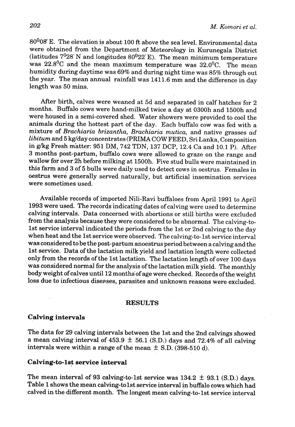80 $0$ 08 E. The elevation is about 100 ft above the sea level. Environmental data were obtained from the Department of Meteorology in Kurunegala District (latitudes  $7^{0}28'$  N and longitudes  $80^{0}22'E$ ). The mean minimum temperature was  $22.8$ <sup>0</sup>C and the mean maximum temperature was  $32.0$ <sup>0</sup>C. The mean humidity during daytime was 69% and during night time was 85% through out the year. The mean annual rainfall was 1411.6 mm and the difference in day length was 50 mins.

After birth, calves were weaned at 5d and separated in calf hatches for 2 months. Buffalo cows were hand-milked twice a day at 0300h and 1500h and were housed in a semi-covered shed. Water showers were provided to cool the animals during the hottest part of the day. Each buffalo cow was fed with a mixture of *Brachiaria brizantha, Brachiaria mutica,* and native grasses *ad libitum* and 5 kg/day concentrates (PRIMACOW FEED, Sri Lanka, Composition in gkg Fresh matter: 951 DM, 742 TDN, 137 DCP, 12.4 Ca and 10.1 P). After 3 months post-partum, buffalo cows were allowed to graze on the range and wallow for over 2h before milking at 1500h. Five stud bulls were maintained in this farm and 3 of 5 bulls were daily used to detect cows in oestrus. Females in oestrus were generally served naturally, but artificial insemination services were sometimes used.

Available records of imported Nili-Ravi buffaloes from April 1991 to April 1993 were used. The records indicating dates of calving were used to determine calving intervals. Data concerned with abortions or still births were excluded from the analysis because they were considered to be abnormal. The calving-to-1st service interval indicated the periods from the 1st or 2nd calving to the day when heat and the 1st service were observed. The calving-to-1st service interval was considered to be the post-partum anoestrus period between a calving and the 1st service. Data of the lactation milk yield and lactation length were collected only from the records of the 1st lactation. The lactation length of over 100 days was considered normal for the analysis of the lactation milk yield. The monthly body weight of calves until 12 months'of age were checked. Records of the weight loss due to infectious diseases, parasites and unknown reasons were excluded.

### **RESULTS**

### **Calving intervals**

The data for 29 calving intervals between the 1st and the 2nd calvings showed a mean calving interval of  $453.9 \pm 56.1$  (S.D.) days and 72.4% of all calving intervals were within a range of the mean  $\pm$  S.D. (398-510 d).

### **Calving-to-1st service interval**

The mean interval of 93 calving-to-1st service was  $134.2 \pm 93.1$  (S.D.) days. Table 1 shows the mean calving-to1st service interval in buffalo cows which had .calved in the different month. The longest mean calving-to-1st senrice interval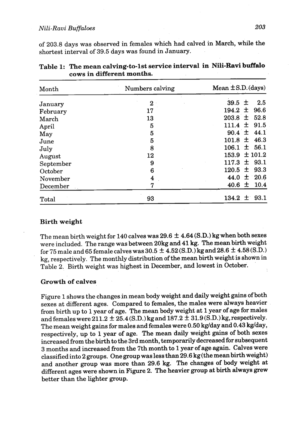# *Nili-Ravi Buffaloes* **203**

of 203.8 days was observed in females which had calved in March, while the shortest interval of 39.5 days was found in **January.** 

| Month     | Numbers calving  | Mean $\pm$ S.D. (days) |  |  |
|-----------|------------------|------------------------|--|--|
| January   | $\bf{2}$         | 2.5<br>$39.5 \pm$      |  |  |
| February  | 17               | 194.2 $\pm$<br>96.6    |  |  |
| March     | 13               | $203.8 \pm$<br>52.8    |  |  |
| April     | 5                | 91.5<br>$111.4 \pm$    |  |  |
| May       | 5                | 44.1<br>$90.4 \pm$     |  |  |
| June      | 5                | 101.8<br>46.3<br>土     |  |  |
| July      | 8                | $±$ 56.1<br>106.1      |  |  |
| August    | 12               | ± 101.2<br>153.9       |  |  |
| September | 9                | - 93.1<br>117.3<br>土   |  |  |
| October   | $\bf{6}$         | 93.3<br>120.5<br>$\pm$ |  |  |
| November  | $\boldsymbol{4}$ | $-20.6$<br>士<br>44.0   |  |  |
| December  | 7                | 40.6 $\pm$<br>10.4     |  |  |
| Total     | 93               | $134.2 \pm 93.1$       |  |  |

Table 1: The mean calving-to-1st service interval in- **Nili-Ravi buffalo**  cows in different months.

## Birth weight

The mean birth weight for 140 calves was  $29.6 \pm 4.64$  (S.D.) kg when both sexes were included. The range was between 20kg and 41 kg. The mean birth weight for 75 male and 65 female calves was  $30.5 \pm 4.52$  (S.D.) kg and 28.6  $\pm$  4.58 (S.D.) kg, respectively. The monthly distribution of the mean birth weight is shown in Table 2. Birth weight was highest in December, and lowest in October.

## Growth of calves

Figure 1 shows the changes **in** mean body weight and daily weight gains of both sexes at different ages. Compared to females, the males were always heavier from birth up to 1 year of age. The mean body weight at 1 year of age for males and females were  $211.2 \pm 25.4$  (S.D.) kg and  $187.2 \pm 31.9$  (S.D.) kg, respectively. The mean weight gains for males and females were 0.50 kg/day and 0.43 kg/day, respectively, up to 1 year of age. The mean daily weight gains of both sexes increased from the birth to the 3rd month, temporarily decreased for subsequent 3 months and increased from the 7th month to 1 year of age **again.** Calves were classifiedinto 2 groups. One group was less than 29.6 kg(the mean birth weight) and another group was more than 29.6 kg. The changes of body weight at different ages were shown in Figure 2. The heavier group at birth always grew better than the lighter group.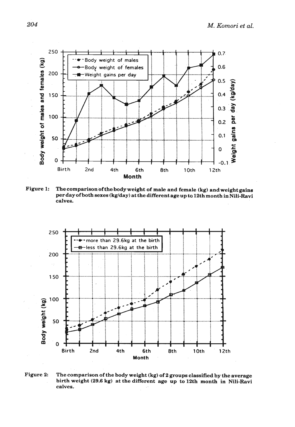

Figure 1: The comparison of the body weight of male and female (kg) andweight gains per day of both sexes (kg/day) at the different age up to 12th month in Nili-Ravi calves.



Figure 2: The comparison of the body weight (kg) of 2 groups classified by the average birth weight (29.6 kg) at the different age up to 12th month in Nili-Ravi calves.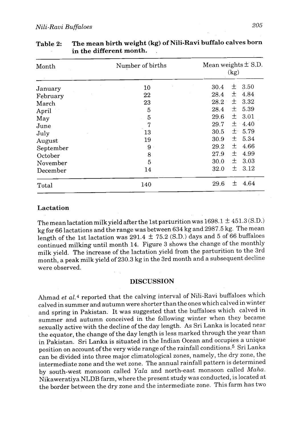| Month     | Number of births | Mean weights $\pm$ S.D.<br>(kg) |  |  |
|-----------|------------------|---------------------------------|--|--|
| January   | 10               | 土<br>3.50<br>30.4               |  |  |
| February  | 22               | 土<br>4.84<br>28.4               |  |  |
| March     | 23               | 土<br>3.32<br>28.2               |  |  |
| April     | 5                | 5.39<br>士<br>28.4               |  |  |
| May       | 5                | 土<br>3.01<br>29.6               |  |  |
| June      | 7                | 土<br>4.40<br>29.7               |  |  |
| July      | 13               | 士<br>5.79<br>30.5               |  |  |
| August    | 19               | 土<br>5.34<br>30.9               |  |  |
| September | 9                | 土<br>4.66<br>29.2               |  |  |
| October   | 8                | 土<br>4.99<br>27.9               |  |  |
| November  | 5                | 士<br>3.03<br>30.0               |  |  |
| December  | 14               | 3.12<br>士。<br>32.0              |  |  |
| Total     | 140              | 土<br>4.64<br>29.6               |  |  |

**Table 2: The mean birth weight (kg) of Nili-Ravi buffalo calves born in the different month.** .

# **Lactation**

The mean lactation milk yield after the 1st parturition was  $1698.1 \pm 451.3$  (S.D.) kg for 66 lactations and the range was between **634** kg and 2987.5 kg. The mean length of the 1st lactation was 291.4  $\pm$  75.2 (S.D.) days and 5 of 66 buffaloes continued milking until month 14. Figure **3** shows the change of the monthly milk yield. The increase of the lactation yield from the parturition to the 3rd month, a peak milk yield of 230.3 kg in the 3rd month and a subsequent decline were observed.

### **DISCUSSION**

Ahmad *et a1.4* reported that the calving interval of Nili-Ravi buffaloes which calved in summer and autumn were shorter than the ones which calved in winter and spring in Pakistan. It was suggested that the buffaloes which calved in summer and autumn conceived in the following winter when they became sexually active with the decline of the day length. As Sri Lanka is located near the equator, the change of the day length is less marked through the year than in Pakistan. Sri Lanka is situated in the Indian Ocean and occupies a unique position on account of the very wide range of the rainfall conditions.5 Sri Lanka can be divided into three major climatological zones, namely, the dry zone, the intermediate zone and the wet zone. The annual rainfall pattern is determined by south-west monsoon called *Yala* and north-east monsoon called *Maha.*  Nikaweratiya NLDB farm, where the present study was conducted, is located at the border between the dry zone and the intermediate zone. This farm has two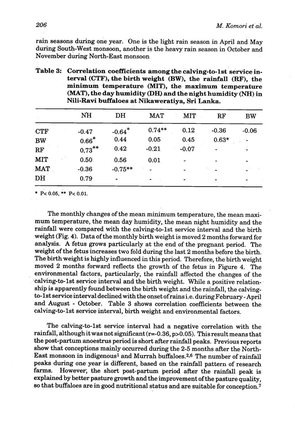rain seasons during one year. One is the light rain season in April and May during South-West monsoon, another is the heavy rain season in October and November during North-East monsoon

|  | Table 3: Correlation coefficients among the calving-to-1st service in- |  |  |  |  |
|--|------------------------------------------------------------------------|--|--|--|--|
|  | terval (CTF), the birth weight (BW), the rainfall (RF), the            |  |  |  |  |
|  | minimum temperature (MIT), the maximum temperature                     |  |  |  |  |
|  | (MAT), the day humidity (DH) and the night humidity (NH) in            |  |  |  |  |
|  | Nili-Ravi buffaloes at Nikaweratiya, Sri Lanka.                        |  |  |  |  |

|            | (MAT), the day humidity (DH) and the night humidity (NH) in<br>Nili-Ravi buffaloes at Nikaweratiya, Sri Lanka. |                      |          |         |         |         |  |  |
|------------|----------------------------------------------------------------------------------------------------------------|----------------------|----------|---------|---------|---------|--|--|
|            | NH                                                                                                             | DH                   | MAT      | MIT     | RF      | BW      |  |  |
| <b>CTF</b> | $-0.47$                                                                                                        | $-0.64$ <sup>*</sup> | $0.74**$ | 0.12    | $-0.36$ | $-0.06$ |  |  |
| <b>BW</b>  | $0.66*$                                                                                                        | 0.44                 | 0.05     | 0.45    | $0.63*$ |         |  |  |
| RF         | $0.73***$                                                                                                      | 0.42                 | $-0.21$  | $-0.07$ |         |         |  |  |
| <b>MIT</b> | 0.50 <sub>1</sub>                                                                                              | 0.56                 | 0.01     |         |         |         |  |  |
| <b>MAT</b> | $-0.36$                                                                                                        | $-0.75**$            |          |         |         |         |  |  |
| DH         | 0.79                                                                                                           |                      |          |         |         |         |  |  |

\* P< 0.05, \*\* P< 0.01.

The monthly changes of the mean minimum temperature, the mean maximum temperature, the mean day humidity, the mean night humidity and the rainfall were compared with the calving-to-1st service interval and the birth weight (Fig. 4). Data of the monthly birth weight is moved 2 months forward for analysis. A fetus grows particularly at the end of the pregnant period. The weight of the fetus increases two fold during the last 2 months before the birth. The birth weight is highly influenced in this period. Therefore, the birth weight moved 2 months forward reflects the growth of the fetus in Figure 4. The environmental factors, particularly, the rainfall affected the changes of the calving-to-1st service interval and the birth weight. While a positive relationship is apparently found between the birth weight and the rainfall, the calvingto-1st service interval declined with the onset ofrains i.e. during February - April and August - October. Table 3 shows correlation coefficients between the calving-to-1st service interval, birth weight and environmental factors.

The calving-to-1st service interval had a negative correlation with the rainfall, although it was not significant  $(r=0.36, p>0.05)$ . This result means that the post-partum anoestrus period is short after rainfall peaks. Previous reports show that conceptions mainly occurred during the 2-5 months after the North-East monsoon in indigenous<sup>1</sup> and Murrah buffaloes.<sup>2,6</sup> The number of rainfall peaks during one year is different, based on the rainfall pattern of research farms. However, the short post-partum period after the rainfall peak is explained by better pasture growth and the improvement of the pasture quality, so that buffaloes are in good nutritional status and are suitable for conception.'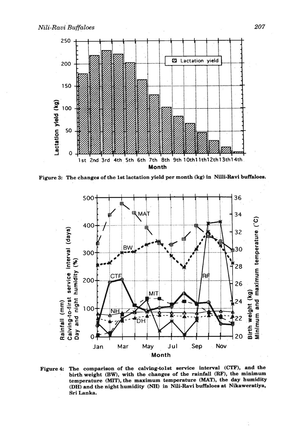

**Figure 3: The changes of the 1st lactation yield per month (kg) in Nilli-Ravi buffaloes.** 



Figure 4: The comparison of the calving-tolst service interval (CTF), and the **birth weight (BW), with the changes of the rainfall (RF), the minimum temperature** (MIT), **the maximum temperature (MAT), the day humidity (DH) and the night humidity (NH)** in **Nili-Ravi buffaloes at Nikaweratiya, Sri Lanka.**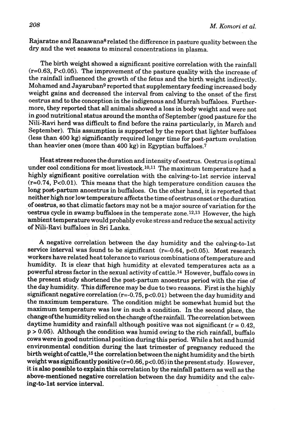Rajaratne and Ranawana<sup>8</sup> related the difference in pasture quality between the dry and the wet seasons to mineral concentrations in plasma.

The birth weight showed a significant positive correlation with the rainfall (r=0,63, Pc0.05). The improvement of the pasture quality with the increase of the rainfall influenced the growth of the fetus and the birth weight indirectly. Mohamed and Jayaruban<sup>9</sup> reported that supplementary feeding increased body weight gains and decreased the interval from calving to the onset of the first oestrus and to the conception in the indigenous and Murrah buffaloes. Furthermore, they reported that all animals showed a loss in body weight and were not in good nutritional status around the months of September (good pasture for the Nili-Ravi herd was difficult to find before the rains particularly, in March and September). This assumption is supported by the report that lighter buffaloes (less than 400 kg) significantly required longer time for post-partum ovulation than heavier ones (more than 400 kg) in Egyptian buffaloes.7

Heat stress reduces the duration and intensity of oestrus. Oestrus is optimal under cool conditions for most livestock.<sup>10,11</sup> The maximum temperature had a highly significant positive correlation with the calving-to-1st service interval  $(r=0.74, P<0.01)$ . This means that the high temperature condition causes the long post-partum anoestrus in buffaloes. On the other hand, it is reported that neither high nor low temperature affects the time of oestrus onset or the duration of oestrus, so that climatic factors may not be a major source of variation for the  $\alpha$  cestrus cycle in swamp buffaloes in the temperate zone.<sup>12,13</sup> However, the high ambient temperature would probably evoke stress and reduce the sexual activity of Nili-Ravi buffaloes in Sri **Lanka.** 

A negative correlation between the day humidity and the calving-to-1st service interval was found to be significant  $(r=0.64, p<0.05)$ . Most research workers have related heat tolerance to various combinations oftemperature and humidity. It is clear that high humidity at elevated temperatures acts as a powerful stress factor in the sexual activity of cattle.14 However, buffalo cows in the present study shortened the post-partum anoestrus period with the rise of the day humidity. This difference may be due to two reasons. First is the highly significant negative correlation  $(r=-0.75, p<0.01)$  between the day humidity and the maximum temperature. The condition might be somewhat humid but the maximum temperature was low in such a condition. In the second place, the change ofthe humidity relied on the change ofthe rainfall. The correlation between daytime humidity and rainfall although positive was not significant ( $r = 0.42$ ,  $p > 0.05$ ). Although the condition was humid owing to the rich rainfall, buffalo cows were in good nutritional position during this period. While a hot and humid environmental condition during the last trimester of pregnancy reduced the birth weight of cattle,<sup>15</sup> the correlation between the night humidity and the birth weight was significantly positive (r=0.66, pc0.05) **in** the present study. However, it is also possible to explain this correlation by the rainfall pattern as well as the above-mentioned negative correlation between the day humidity and the calving-to-1st service interval.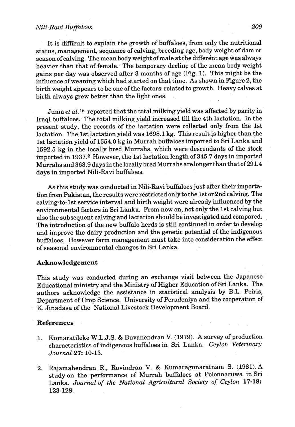It is difficult to explain the growth of buffaloes, from only the nutritional status, management, sequence of calving, breeding age, body weight of dam or season of calving. The mean body weight ofmale at the different age was always heavier than that of female. The temporary decline of the mean body weight gains per day was observed after  $3$  months of age (Fig. 1). This might be the influence of weaning which had started on that time. As shown in Figure 2, the birth weight appears to be one of the fadors related to growth. Heavy calves at birth always grew better than the light ones.

Juma *et al.* **16** reported that the total milking yield was affected by parity in Iraqi buffaloes. The total milking yield increased till the 4th lactation. In the present study, the records of the lactation were collected only from the 1st lactation. The 1st lactation yield was 1698.1 kg. This result is higher than the 1st lactation yield of 1554.0 kg in Murrah buffaloes imported to Sri Lanka and 1592.5 kg in the locally bred Murrahs, which were descendants of the stock imported in 1937.2 However, the 1st lactation length of 345.7 days in imported Murrahs and 363.9 daysin the locally bredMurrahs arelonger than that of291.4 days in imported Nili-Ravi buffaloes.

As this study was conducted in Nili-Ravi buffaloes just after their importation from Pakistan, the results were restricted only to the 1st or 2nd calving. The calving-to-1st service interval and birth weight were already influenced by the environmental factors in Sri Lanka. From now on, not only the 1st calving but also the subsequent calving and lactation should be investigated and compared. The introduction of the new buffalo herds is still continued in order to develop and improve the dairy production and the genetic potential of the indigenous buffaloes. However **farm** management must take into consideration the effect of seasonal environmental changes in Sri Lanka.

#### **Acknowledgement**

This study was conducted during an exchange visit between the Japanese Educational ministry qnd the Ministry of Higher Education of **SriLanka.** The authors acknowledge the assistance in statistical analysis by B.L. Peiris, Department of Crop Science, University of Peradeniya and the cooperation of K. Jinadasa of the National Livestock Development Board.

#### **References**

- **1.** Kumaratileke W.L.J.S. & Buvanendran **V..** (1979). A survey of production characteristics of indigenous buffaloes in Sri Lanka. *Ceylon Veterinary Journal 27:* 10-13.
- 2. Rajamahendran R., Ravindran V. & Kumaragunaratnam S. (1981). A study on the performance of Murrah buffaloes at Polonnaruwa in Sri Lanka. *Journal of the National Agricultural Society of Ceylon 17-18:*  123-128.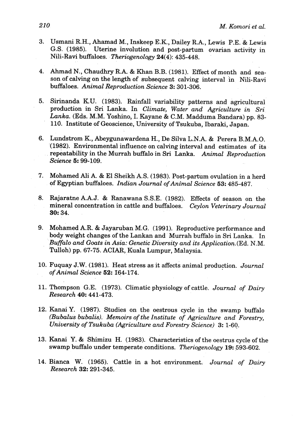- **3.** Usmani R.H., Aharnad M., Inskeep E.K., Dailey R.A., Lewis P.E. & Lewis G.S. (1985). Uterine involution and post-partum ovarian activity in Nili-Ravi buffaloes. *Theriogenology* 24(4): 435-448.
- 4. Ahrnad N., Chaudhry R.A. & Khan B.B. (1981). Effect of month and season of calving on the length of subsequent calving interval in Nili-Ravi buffaloes. *Animal Reproduction Science 3:* 301-306.
- 5. Sirinanda RU. (1983). Rainfall variability patterns and agricultural production in Sri Lanka. In *Climate, Water and Agriculture in Sri Lanka.* (Eds. M.M. Yoshino, I. Kayane & C.M. Madduma Bandara) pp. 83- 110. Institute of Geoscience, University of Tsukuba, Ibaraki, Japan.
- 6. Lundstrom **K,** Abeygunawardena H., De Silva L.N.A. & Perera B.M.A.O. (1982). Environmental influence on calving interval and estimates of its repeatability in the Murrah buffalo in Sri Lanka. *Animal Reproduction Science 5:* 99-109.
- 7. Mohamed Ali A. & El Sheikh A.S. (1983). Post-partum ovulation in a herd of Egyptian buffaloes, *Indian Journal of Animal Science 53:* 485-487.
- 8. Rajaratne A.A.J. & Ranawana S.S.E. (1982). Effects of season on the mineral concentration in cattle and buffaloes. *Ceylon Veterinary Journal 30:* 34.
- 9. Mohamed A.R. & Jayaruban M.G. , (1991). Reproductive performance and body weight changes of the Lankan and Murrah buffalo in Sri Lanka. In Buffalo and Goats in Asia: Genetic Diversity and its Application.(Ed. N.M.) Tulloh) pp. 67-75. ACIAR, Kuala Lurnpur, Malaysia.
- 10. Fuquay J.W. (1981). Heat stress as it affects animal production. *Journal ofAnima1. Science 52:* 164-174.
- 11. Thompson G.E. (1973). Climatic physiology of cattle. *Journal of Dairy Research* 40: 441-473.
- 12. Kanai Y. (1987). Studies on the oestrous cycle in the swamp buffalo *(Bubalus bubalis). Memoirs of the Institute of Agriculture and Forestry, University of Tsukuba (Agriculture and Forestry Science)* 3: 1-60.
- 13. Kanai Y. & Shimizu H. (1983). Characteristics of the oestrus cycle of the swamp buffalo under temperate conditions. *Theriogenology* 19: 593-602.
- 14. Bianca W. (1965). Cattle in a hot environment. *Journal of Dairy Research 32:* 291-345.